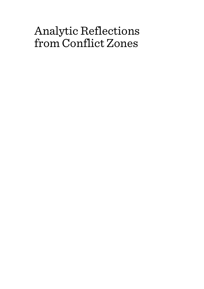# Analytic Reflections from Conflict Zones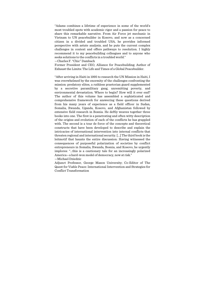"Adams combines a lifetime of experience in some of the world's most troubled spots with academic rigor and a passion for peace to share this remarkable narrative. From Air Force jet mechanic in Vietnam to UN peacebuilder in Kosovo, and now as a concerned citizen in a divided and troubled USA, he provides informed perspective with astute analysis, and he puts the current complex challenges in context and offers pathways to resolution. I highly recommend it to my peacebuilding colleagues and to anyone who seeks solutions to the conflicts in a troubled world."

—Charles F. "Chic" Dambach

Former President and CEO, Alliance for Peacebuilding; Author of Exhaust the Limits: The Life and Times of a Global Peacebuilder.

"After arriving in Haiti in 1995 to research the UN Mission in Haiti, I was overwhelmed by the enormity of the challenges confronting the mission: predatory elites, a ruthless praetorian guard supplemented by a secretive paramilitary gang, unremitting poverty, and environmental devastation. Where to begin? How will it ever end? The author of this volume has assembled a sophisticated and comprehensive framework for answering these questions derived from his many years of experience as a field officer in Sudan, Somalia, Rwanda, Uganda, Kosovo, and Afghanistan followed by extensive field research in Bosnia. He deftly weaves together three books into one. The first is a penetrating and often witty description of the origins and evolution of each of the conflicts he has grappled with. The second is a tour de force of the concepts and theoretical constructs that have been developed to describe and explain the intricacies of international intervention into internal conflicts that threaten regional and international security. [...] The third book is the leitmotif that haunts the entire discussion: Having witnessed the consequences of purposeful polarization of societies by conflict entrepreneurs in Somalia, Rwanda, Bosnia, and Kosovo, he urgently implores: "…this is a cautionary tale for an increasingly polarized America—a hard-won model of democracy, now at risk."

—Michael Dziedzic

Adjunct Professor, George Mason University; Co-Editor of The Quest for Viable Peace: International Intervention and Strategies for Conflict Transformation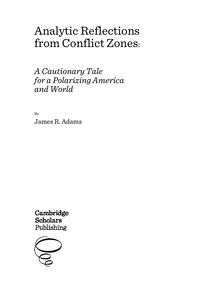# Analytic Reflections from Conflict Zones:

*A Cautionary Tale for a Polarizing America and World*

By James R. Adams

Cambridge **Scholars** Publishing

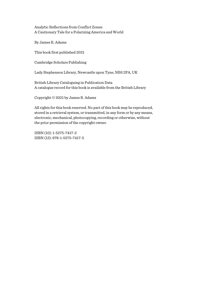Analytic Reflections from Conflict Zones: A Cautionary Tale for a Polarizing America and World

By James R. Adams

This book first published 2021

Cambridge Scholars Publishing

Lady Stephenson Library, Newcastle upon Tyne, NE6 2PA, UK

British Library Cataloguing in Publication Data A catalogue record for this book is available from the British Library

Copyright © 2021 by James R. Adams

All rights for this book reserved. No part of this book may be reproduced, stored in a retrieval system, or transmitted, in any form or by any means, electronic, mechanical, photocopying, recording or otherwise, without the prior permission of the copyright owner.

ISBN (10): 1-5275-7417-2 ISBN (13): 978-1-5275-7417-5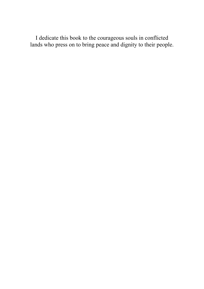I dedicate this book to the courageous souls in conflicted lands who press on to bring peace and dignity to their people.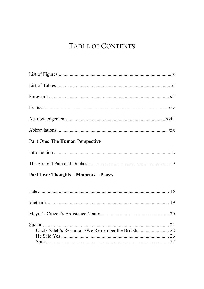## **TABLE OF CONTENTS**

### **Part One: The Human Perspective**

### **Part Two: Thoughts - Moments - Places**

| Uncle Saleh's Restaurant/We Remember the British 22 |  |
|-----------------------------------------------------|--|
|                                                     |  |
|                                                     |  |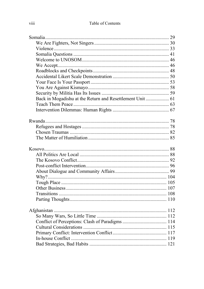| Back in Mogadishu at the Return and Resettlement Unit  61 |  |
|-----------------------------------------------------------|--|
|                                                           |  |
|                                                           |  |
|                                                           |  |
|                                                           |  |
|                                                           |  |
|                                                           |  |
|                                                           |  |
|                                                           |  |
|                                                           |  |
|                                                           |  |
|                                                           |  |
|                                                           |  |
|                                                           |  |
|                                                           |  |
|                                                           |  |
|                                                           |  |
|                                                           |  |
|                                                           |  |
|                                                           |  |
|                                                           |  |
|                                                           |  |
|                                                           |  |
|                                                           |  |
|                                                           |  |
|                                                           |  |
|                                                           |  |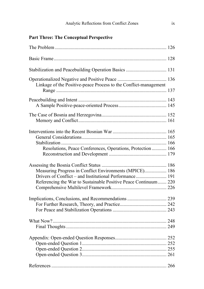### **Part Three: The Conceptual Perspective**

| Stabilization and Peacebuilding Operation Basics  131                                                                                                                                 |  |
|---------------------------------------------------------------------------------------------------------------------------------------------------------------------------------------|--|
| Linkage of the Positive-peace Process to the Conflict-management                                                                                                                      |  |
|                                                                                                                                                                                       |  |
|                                                                                                                                                                                       |  |
| Resolutions, Peace Conferences, Operations, Protection  166                                                                                                                           |  |
| Measuring Progress in Conflict Environments (MPICE) 186<br>Drivers of Conflict – and Institutional Performance 191<br>Referencing the War to Sustainable Positive Peace Continuum 220 |  |
| Implications, Conclusions, and Recommendations  239                                                                                                                                   |  |
|                                                                                                                                                                                       |  |
|                                                                                                                                                                                       |  |
|                                                                                                                                                                                       |  |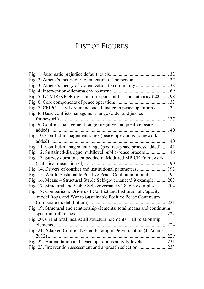## LIST OF FIGURES

| Fig. 3. Athens's theory of violentization to community  38               |  |
|--------------------------------------------------------------------------|--|
|                                                                          |  |
| Fig. 5. UNMIK/KFOR division of responsibilities and authority (2001) 98  |  |
|                                                                          |  |
| Fig. 7. CMPO – civil order and social justice in peace operations  134   |  |
| Fig. 8. Basic conflict-management range (order and justice               |  |
| . 137                                                                    |  |
| Fig. 9. Conflict-management range (negative and positive peace           |  |
|                                                                          |  |
| Fig. 10. Conflict-management range (peace operations framework           |  |
|                                                                          |  |
| Fig. 11. Conflict-management range (positive-peace process added)  141   |  |
| Fig. 12. Sustained-dialogue multilevel public-peace process 146          |  |
| Fig. 13. Survey questions embedded in Modified MPICE Framework           |  |
|                                                                          |  |
| Fig. 14. Drivers of conflict and institutional parameters  192           |  |
| Fig. 15. War to Sustainable Positive Peace Continuum model 197           |  |
| Fig. 16. Means - Structural/Stable Self-governance/3.9 example 203       |  |
| Fig. 17. Structural and Stable Self-governance/2.8-6.3 examples  204     |  |
| Fig. 18. Comparison: Drivers of Conflict and Institutional Capacity      |  |
| model (top), and War to Sustainable Positive Peace Continuum             |  |
|                                                                          |  |
| Fig. 19. Structural and relationship elements: total means and continuum |  |
|                                                                          |  |
| Fig. 20. Grand total means: all structural elements $+$ all relationship |  |
|                                                                          |  |
| Fig. 21. Adapted Conflict Nested Paradigm Determination (J. Adams        |  |
| 229                                                                      |  |
| Fig. 22. Humanitarian and peace operations activity levels  231          |  |
|                                                                          |  |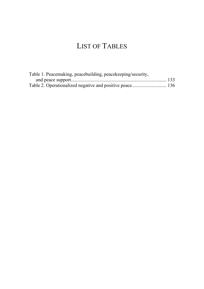## LIST OF TABLES

| Table 1. Peacemaking, peacebuilding, peacekeeping/security, |  |
|-------------------------------------------------------------|--|
|                                                             |  |
|                                                             |  |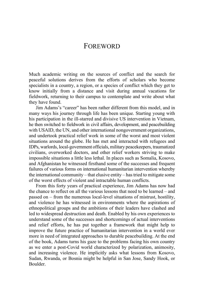### **FOREWORD**

Much academic writing on the sources of conflict and the search for peaceful solutions derives from the efforts of scholars who become specialists in a country, a region, or a species of conflict which they get to know initially from a distance and visit during annual vacations for fieldwork, returning to their campus to contemplate and write about what they have found.

Jim Adams's "career" has been rather different from this model, and in many ways his journey through life has been unique. Starting young with his participation in the ill-starred and divisive US intervention in Vietnam, he then switched to fieldwork in civil affairs, development, and peacebuilding with USAID, the UN, and other international nongovernment organizations, and undertook practical relief work in some of the worst and most violent situations around the globe. He has met and interacted with refugees and IDPs, warlords, local-government officials, military peacekeepers, traumatized civilians, overworked doctors, and other relief workers striving to make impossible situations a little less lethal. In places such as Somalia, Kosovo, and Afghanistan he witnessed firsthand some of the successes and frequent failures of various forms on international humanitarian intervention whereby the international community – that elusive entity – has tried to mitigate some of the worst effects of violent and intractable human conflicts.

From this forty years of practical experience, Jim Adams has now had the chance to reflect on all the various lessons that need to be learned – and passed on – from the numerous local-level situations of mistrust, hostility, and violence he has witnessed in environments where the aspirations of ethnopolitical groups and the ambitions of their leaders have clashed and led to widespread destruction and death. Enabled by his own experiences to understand some of the successes and shortcomings of actual interventions and relief efforts, he has put together a framework that might help to improve the future practice of humanitarian intervention in a world ever more in need of integrated approaches to durable peacebuilding. At the end of the book, Adams turns his gaze to the problems facing his own country as we enter a post-Covid world characterized by polarization, animosity, and increasing violence. He implicitly asks what lessons from Kosovo, Sudan, Rwanda, or Bosnia might be helpful in San Jose, Sandy Hook, or Boulder.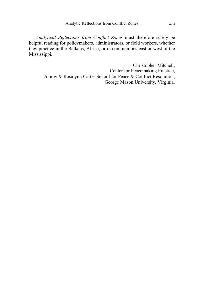*Analytical Reflections from Conflict Zones* must therefore surely be helpful reading for policymakers, administrators, or field workers, whether they practice in the Balkans, Africa, or in communities east or west of the Mississippi.

> Christopher Mitchell, Center for Peacemaking Practice, Jimmy & Rosalynn Carter School for Peace & Conflict Resolution, George Mason University, Virginia.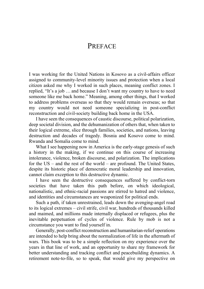## PREFACE

I was working for the United Nations in Kosovo as a civil-affairs officer assigned to community-level minority issues and protection when a local citizen asked me why I worked in such places, meaning conflict zones. I replied, "It's a job … and because I don't want my country to have to need someone like me back home." Meaning, among other things, that I worked to address problems overseas so that they would remain overseas; so that my country would not need someone specializing in post-conflict reconstruction and civil-society building back home in the USA.

I have seen the consequences of caustic discourse, political polarization, deep societal division, and the dehumanization of others that, when taken to their logical extreme, slice through families, societies, and nations, leaving destruction and decades of tragedy. Bosnia and Kosovo come to mind. Rwanda and Somalia come to mind.

What I see happening now in America is the early-stage genesis of such a history in the making, if we continue on this course of increasing intolerance, violence, broken discourse, and polarization. The implications for the US – and the rest of the world – are profound. The United States, despite its historic place of democratic moral leadership and innovation, cannot claim exception to this destructive dynamic.

I have seen the destructive consequences suffered by conflict-torn societies that have taken this path before, on which ideological, nationalistic, and ethnic-racial passions are stirred to hatred and violence, and identities and circumstances are weaponized for political ends.

Such a path, if taken unrestrained, leads down the avenging-angel road to its logical extremes – civil strife, civil war, hundreds of thousands killed and maimed, and millions made internally displaced or refugees, plus the inevitable perpetuation of cycles of violence. Rule by mob is not a circumstance you want to find yourself in.

Generally, post-conflict reconstruction and humanitarian-relief operations are intended to help bring about the normalization of life in the aftermath of wars. This book was to be a simple reflection on my experience over the years in that line of work, and an opportunity to share my framework for better understanding and tracking conflict and peacebuilding dynamics. A retirement note-to-file, so to speak, that would give my perspective on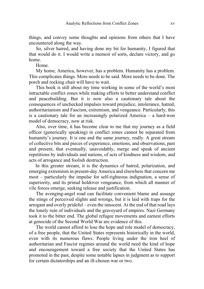things, and convey some thoughts and opinions from others that I have encountered along the way.

So, silver haired, and having done my bit for humanity, I figured that that would do it. I would write a memoir of sorts, declare victory, and go home.

Home.

My home, America, however, has a problem. Humanity has a problem. This complicates things. More needs to be said. More needs to be done. The porch and rocking chair will have to wait.

This book is still about my time working in some of the world's most intractable conflict zones while making efforts to better understand conflict and peacebuilding. But it is now also a cautionary tale about the consequences of unchecked impulses toward prejudice, intolerance, hatred, authoritarianism and Fascism, extremism, and vengeance. Particularly, this is a cautionary tale for an increasingly polarized America – a hard-won model of democracy, now at risk.

Also, over time, it has become clear to me that my journey as a field officer (generically speaking) in conflict zones cannot be separated from humanity's journey. It is one and the same journey, really. A great stream of collective bits and pieces of experience, emotions, and observations, past and present, that eventually, unavoidably, merge and speak of ancient repetitions by individuals and nations, of acts of kindness and wisdom, and acts of arrogance and foolish destruction.

In this greater stream, it is the dynamics of hatred, polarization, and emerging extremism in present-day America and elsewhere that concern me most – particularly the impulse for self-righteous indignation, a sense of superiority, and its primal holdover vengeance, from which all manner of vile forces emerge, seeking release and justification.

The avenging-angel road can facilitate convenient blame and assuage the stings of perceived slights and wrongs, but it is laid with traps for the arrogant and overly prideful – even the innocent. At the end of that road lays the lonely ruin of individuals and the graveyard of empires. Nazi Germany took it to the bitter end. The global refugee movements and earnest efforts at genocide of the Second World War are evidence of this.

The world cannot afford to lose the hope and role model of democracy, of a free people, that the United States represents historically in the world, even with its numerous flaws. People living under the iron heel of authoritarian and Fascist regimes around the world need the kind of hope and encouragement toward a free society that the United States has promoted in the past, despite some notable lapses in judgment as to support for certain dictatorships and an ill-chosen war or two.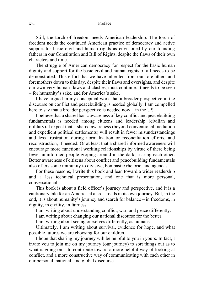#### xvi Preface

Still, the torch of freedom needs American leadership. The torch of freedom needs the continued American practice of democracy and active support for basic civil and human rights as envisioned by our founding fathers in our Constitution and Bill of Rights, despite the flaws of their own characters and time.

The struggle of American democracy for respect for the basic human dignity and support for the basic civil and human rights of all needs to be demonstrated. This effort that we have inherited from our forefathers and foremothers down to this day, despite their flaws and oversights, and despite our own very human flaws and clashes, must continue. It needs to be seen – for humanity's sake, and for America's sake.

I have argued in my conceptual work that a broader perspective in the discourse on conflict and peacebuilding is needed globally. I am compelled here to say that a broader perspective is needed now – in the US.

I believe that a shared basic awareness of key conflict and peacebuilding fundamentals is needed among citizens and leadership (civilian and military). I expect that a shared awareness (beyond conventional mediation and expedient political settlements) will result in fewer misunderstandings and less frustration during normalization or reconciliation efforts, and reconstruction, if needed. Or at least that a shared informed awareness will encourage more functional working relationships by virtue of there being fewer uninformed people groping around in the dark, scaring each other. Better awareness of citizens about conflict and peacebuilding fundamentals also offers some immunity to divisive, bombastic rhetoric, and agendas.

For these reasons, I write this book and lean toward a wider readership and a less technical presentation, and one that is more personal, conversational.

This book is about a field officer's journey and perspective, and it is a cautionary tale for an America at a crossroads in its own journey. But, in the end, it is about humanity's journey and search for balance – in freedoms, in dignity, in civility, in fairness.

I am writing about understanding conflict, war, and peace differently.

I am writing about changing our national discourse for the better.

I am writing about seeing ourselves differently, as humans.

Ultimately, I am writing about survival, evidence for hope, and what possible futures we are choosing for our children.

I hope that sharing my journey will be helpful to you in yours. In fact, I invite you to join me on my journey (our journey) to sort things out as to what is going on  $-$  to contribute toward a more helpful way of looking at conflict, and a more constructive way of communicating with each other in our personal, national, and global discourse.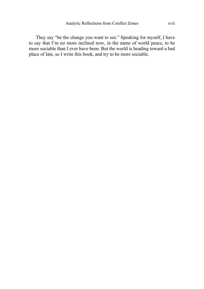They say "be the change you want to see." Speaking for myself, I have to say that I'm no more inclined now, in the name of world peace, to be more sociable than I ever have been. But the world is heading toward a bad place of late, so I write this book, and try to be more sociable.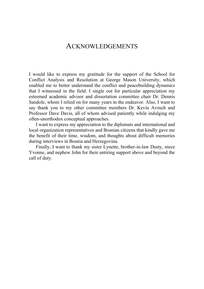### ACKNOWLEDGEMENTS

I would like to express my gratitude for the support of the School for Conflict Analysis and Resolution at George Mason University, which enabled me to better understand the conflict and peacebuilding dynamics that I witnessed in the field. I single out for particular appreciation my esteemed academic advisor and dissertation committee chair Dr. Dennis Sandole, whom I relied on for many years in the endeavor. Also, I want to say thank you to my other committee members Dr. Kevin Avruch and Professor Dave Davis, all of whom advised patiently while indulging my often-unorthodox conceptual approaches.

I want to express my appreciation to the diplomats and international and local organization representatives and Bosnian citizens that kindly gave me the benefit of their time, wisdom, and thoughts about difficult memories during interviews in Bosnia and Herzegovina.

Finally, I want to thank my sister Lynette, brother-in-law Dusty, niece Yvonne, and nephew John for their untiring support above and beyond the call of duty.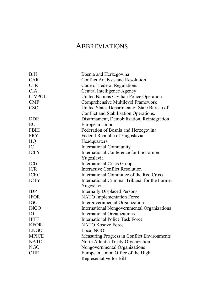## **ABBREVIATIONS**

| <b>BiH</b>    | Bosnia and Herzegovina                         |
|---------------|------------------------------------------------|
| CAR           | Conflict Analysis and Resolution               |
| <b>CFR</b>    | Code of Federal Regulations                    |
| <b>CIA</b>    | Central Intelligence Agency                    |
| <b>CIVPOL</b> | United Nations Civilian Police Operation       |
| <b>CMF</b>    | Comprehensive Multilevel Framework             |
| <b>CSO</b>    | United States Department of State Bureau of    |
|               | Conflict and Stabilization Operations.         |
| <b>DDR</b>    | Disarmament, Demobilization, Reintegration     |
| EU            | European Union                                 |
| FBiH          | Federation of Bosnia and Herzegovina           |
| <b>FRY</b>    | Federal Republic of Yugoslavia                 |
| HQ            | Headquarters                                   |
| IC.           | International Community                        |
| <b>ICFY</b>   | International Conference for the Former        |
|               | Yugoslavia                                     |
| <b>ICG</b>    | <b>International Crisis Group</b>              |
| <b>ICR</b>    | Interactive Conflict Resolution                |
| <b>ICRC</b>   | International Committee of the Red Cross       |
| <b>ICTY</b>   | International Criminal Tribunal for the Former |
|               | Yugoslavia                                     |
| <b>IDP</b>    | <b>Internally Displaced Persons</b>            |
| <b>IFOR</b>   | NATO Implementation Force                      |
| <b>IGO</b>    | Intergovernmental Organization                 |
| <b>INGO</b>   | International Nongovernmental Organizations    |
| IО            | <b>International Organizations</b>             |
| <b>IPTF</b>   | International Police Task Force                |
| <b>KFOR</b>   | NATO Kosovo Force                              |
| <b>LNGO</b>   | Local NGO                                      |
| <b>MPICE</b>  | Measuring Progress in Conflict Environments    |
| <b>NATO</b>   | North Atlantic Treaty Organization             |
| NGO           | Nongovernmental Organizations                  |
| <b>OHR</b>    | European Union Office of the High              |
|               | Representative for BiH                         |
|               |                                                |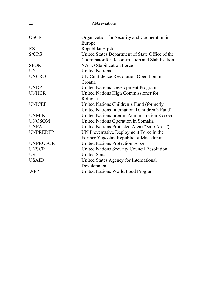| XX              | Abbreviations                                          |
|-----------------|--------------------------------------------------------|
| <b>OSCE</b>     | Organization for Security and Cooperation in<br>Europe |
| <b>RS</b>       | Republika Srpska                                       |
| S/CRS           | United States Department of State Office of the        |
|                 | Coordinator for Reconstruction and Stabilization       |
| <b>SFOR</b>     | <b>NATO Stabilization Force</b>                        |
| UN              | <b>United Nations</b>                                  |
| <b>UNCRO</b>    | UN Confidence Restoration Operation in                 |
|                 | Croatia                                                |
| <b>UNDP</b>     | United Nations Development Program                     |
| <b>UNHCR</b>    | United Nations High Commissioner for                   |
|                 | Refugees                                               |
| <b>UNICEF</b>   | United Nations Children's Fund (formerly               |
|                 | United Nations International Children's Fund)          |
| <b>UNMIK</b>    | United Nations Interim Administration Kosovo           |
| <b>UNOSOM</b>   | United Nations Operation in Somalia                    |
| <b>UNPA</b>     | United Nations Protected Area ("Safe Area")            |
| <b>UNPREDEP</b> | UN Preventative Deployment Force in the                |
|                 | Former Yugoslav Republic of Macedonia                  |
| <b>UNPROFOR</b> | <b>United Nations Protection Force</b>                 |
| <b>UNSCR</b>    | United Nations Security Council Resolution             |
| US              | <b>United States</b>                                   |
| <b>USAID</b>    | United States Agency for International                 |
|                 | Development                                            |
| <b>WFP</b>      | United Nations World Food Program                      |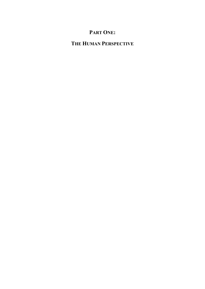## **PART ONE:**

## **THE HUMAN PERSPECTIVE**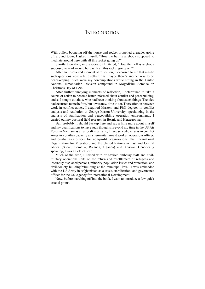### **INTRODUCTION**

With bullets bouncing off the house and rocket-propelled grenades going off around town, I asked myself: "How the hell is anybody supposed to meditate around here with all this racket going on?"

Shortly thereafter, in exasperation I uttered, "How the hell is anybody supposed to read around here with all this racket going on?"

After an unsolicited moment of reflection, it occurred to me that maybe such questions were a little selfish; that maybe there's another way to do peacekeeping. Such were my contemplations while sitting in the United Nations Humanitarian Division compound in Mogadishu, Somalia on Christmas Day of 1994.

After further annoying moments of reflection, I determined to take a course of action to become better informed about conflict and peacebuilding, and so I sought out those who had been thinking about such things. The idea had occurred to me before, but it was now time to act. Thereafter, in between work in conflict zones, I acquired Masters and PhD degrees in conflict analysis and resolution at George Mason University, specializing in the analysis of stabilization and peacebuilding operation environments. I carried out my doctoral field research in Bosnia and Herzegovina.

But, probably, I should backup here and say a little more about myself and my qualifications to have such thoughts. Beyond my time in the US Air Force in Vietnam as an aircraft mechanic, I have served overseas in conflict zones in a civilian capacity as a humanitarian-aid worker, operations officer, and civil-affairs officer for non-profit organizations, the International Organization for Migration, and the United Nations in East and Central Africa (Sudan, Somalia, Rwanda, Uganda) and Kosovo. Generically speaking, I was a field officer.

Much of the time, I liaised with or advised embassy staff and civilmilitary operations units on the return and resettlement of refugees and internally displaced persons, minority-population issues and protection, and civil-society building/rebuilding at the municipal level. I was embedded with the US Army in Afghanistan as a crisis, stabilization, and governance officer for the US Agency for International Development.

Now, before marching off into the book, I want to introduce a few quick crucial points.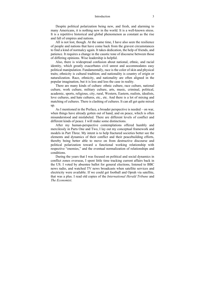#### Introduction 3

Despite political polarization being new, and fresh, and alarming to many Americans, it is nothing new in the world. It is a well-known stress. It is a repetitive historical and global phenomenon as constant as the rise and fall of empires and nations.

All is not lost, though. At the same time, I have also seen the resilience of people and nations that have come back from the gravest circumstances to find a kind of normalcy again. It takes dedication, the help of friends, and patience. It requires a change in the caustic tone of discourse between those of differing opinions. Wise leadership is helpful.

Also, there is widespread confusion about national, ethnic, and racial identity, which greatly exacerbates civil unrest and accommodates easy political manipulation. Fundamentally, race is the color of skin and physical traits; ethnicity is cultural tradition; and nationality is country of origin or naturalization. Race, ethnicity, and nationality are often aligned in the popular imagination, but it is less and less the case in reality.

There are many kinds of culture: ethnic culture, race culture, national culture, work culture, military culture, arts, music, criminal, political, academic, sports, religious, city, rural, Western, Eastern, realists, idealists, love cultures, and hate cultures, etc., etc. And there is a lot of mixing and matching of cultures. There is clashing of cultures. It can all get quite mixed up.

As I mentioned in the Preface, a broader perspective is needed – on war, when things have already gotten out of hand, and on peace, which is often misunderstood and mislabeled. There are different levels of conflict and different kinds of peace. I will make some distinctions.

After my human-perspective contemplations offered humbly and mercilessly in Parts One and Two, I lay out my conceptual framework and models in Part Three. My intent is to help fractured societies better see the elements and dynamics of their conflict and their peacebuilding efforts, thereby being better able to move on from destructive discourse and political polarization toward a functional working relationship with respective "enemies," and the eventual normalization of relationships and conditions.

During the years that I was focused on political and social dynamics in conflict zones overseas, I spent little time tracking current affairs back in the US. I voted by absentee ballot for general elections, listened to BBC news radio, and watched TV news broadcasts when satellite services and electricity were available. If we could get football and Oprah via satellite, that was a plus. I read old copies of the *International Herald Tribune* and *The Economist*.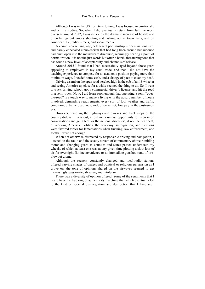Although I was in the US from time to time, I was focused internationally and on my studies. So, when I did eventually return from fulltime work overseas around 2012, I was struck by the dramatic increase of hostile and often belligerent voices shouting and lashing out in town halls, and on American TV, radio, streets, and social media.

A vein of coarse language, belligerent partisanship, strident nationalism, and barely concealed ethno-racism that had long been around but subdued had burst open into the mainstream discourse, seemingly nearing a point of normalization. It is not the just words but often a harsh, threatening tone that has found a new level of acceptability and channels of release.

Around 2015 I found that I had successfully aged beyond those years appealing to employers in my usual trade, and that I did not have the teaching experience to compete for an academic position paying more than minimum wage. I needed some cash, and a change of pace to clear my head.

Driving a semi on the open road perched high in the cab of an 18 wheeler and seeing America up close for a while seemed the thing to do. So, I went to truck-driving school, got a commercial driver's license, and hit the road in a semi-truck. Now, I did learn soon enough that operating a semi "overthe-road" is a tough way to make a living with the absurd number of hours involved, demanding requirements, every sort of foul weather and traffic condition, extreme deadlines, and, often as not, low pay in the post-union era.

However, traveling the highways and byways and truck stops of the country did, as it turns out, afford me a unique opportunity to listen in on conversations and get a feel for the national discourse, if not the heartbeat, of working America. Politics, the economy, immigration, and elections were favored topics for lamentations when trucking, law enforcement, and football were not enough.

When not otherwise distracted by responsible driving and navigation, I listened to the radio and the steady stream of commentary above rumbling motor and changing gears as counties and states passed underneath my wheels, of which at least one was at any given time plotting a slow loss of air for overnight-flat inconvenience or an immediate gunshot burst of tireblowout drama.

Although the scenery constantly changed and local-radio stations offered varying shades of dialect and political or religious persuasion as I drove on, the tone of opinions shared on the airwaves seemed to get increasingly passionate, abrasive, and intolerant.

There was a diversity of opinion offered. Some of the sentiments that I heard have the true ring of authenticity matching that which eventually led to the kind of societal disintegration and destruction that I have seen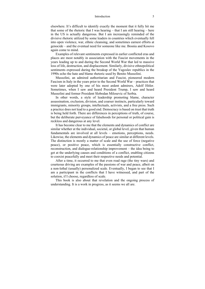#### Introduction 5

elsewhere. It's difficult to identify exactly the moment that it fully hit me that some of the rhetoric that I was hearing – that I am still hearing – here in the US is actually dangerous. But I am increasingly reminded of the divisive rhetoric utilized by some leaders in countries which eventually fell into open violence, war, ethnic cleansing, and sometimes earnest efforts at genocide – and the eventual need for someone like me. Bosnia and Kosovo again come to mind.

Examples of relevant sentiments expressed in earlier conflicted eras and places are most notably in association with the Fascist movements in the years leading up to and during the Second World War that led to massive loss of life, destruction, and displacement. Similarly, divisive ethnopolitical sentiments expressed during the breakup of the Yugoslav republics in the 1990s echo the hate and blame rhetoric used by Benito Mussolini.

Mussolini, an admired authoritarian and Fascist, pioneered modern Fascism in Italy in the years prior to the Second World War – practices that were later adopted by one of his most ardent admirers, Adolf Hitler. Sometimes, when I saw and heard President Trump, I saw and heard Mussolini and former President Slobodan Milosevic of Serbia.

In other words, a style of leadership promoting blame, character assassination, exclusion, division, and coarser instincts, particularly toward immigrants, minority groups, intellectuals, activists, and a free press. Such a practice does not lead to a good end. Democracy is based on trust that truth is being held forth. There are differences in perceptions of truth, of course, but the deliberate purveyance of falsehoods for personal or political gain is reckless and dangerous at any level.

It has become clear to me that the elements and dynamics of conflict are similar whether at the individual, societal, or global level, given that human fundamentals are involved at all levels – emotions, perceptions, needs. Likewise, the elements and dynamics of peace are similar at different levels. The distinction is mostly a matter of scale and the use of force (negative peace), or positive peace, which is essentially constructive conflict, reconstruction, and dialogue-relationship improvement – the idea being to get at the underlying causes and conditions of a conflict, enabling citizens to coexist peacefully and meet their respective needs and potential.

After a time, it occurred to me that even road rage (the tiny wars) and courteous driving are examples of the passions of war and peace, albeit on a non-lethal (usually) personalized scale. Eventually, I began to see that I am a participant in the conflicts that I have witnessed, and part of the solution, if I choose, regardless of scale.

This book is also about that revelation and the ongoing process of understanding. It is a work in progress, as it seems we all are.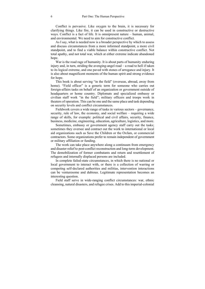Conflict is pervasive. Like oxygen to the brain, it is necessary for clarifying things. Like fire, it can be used in constructive or destructive ways. Conflict is a fact of life. It is omnipresent nature – human, animal, and environmental. We need to aim for constructive conflict.

As I say, what is needed now is a broader perspective by which to assess and discuss circumstances from a more informed standpoint, a more civil standpoint, and to find a viable balance within constructive conflict. Not total apathy, and not total war, which at either extreme indicate abandoned hope.

War is the road rage of humanity. It is about parts of humanity enduring injury and, in turn, striding the avenging-angel road – a road to hell if taken to its logical extreme, and one paved with stones of arrogance and injury. It is also about magnificent moments of the human spirit and strong evidence for hope.

This book is about serving "in the field" (overseas, abroad, away from home). "Field officer" is a generic term for someone who carries out foreign-affairs tasks on behalf of an organization or government outside of headquarters or home country. Diplomats and specialized embassy or civilian staff work "in the field"; military officers and troops work in theaters of operation. This can be one and the same place and task depending on security levels and conflict circumstances.

Fieldwork covers a wide range of tasks in various sectors – governance, security, rule of law, the economy, and social welfare – requiring a wide range of skills, for example: political and civil affairs, security, finance, business, medicine, engineering, education, agriculture, logistics, and more.

Sometimes, embassy or government agency staff carry out the tasks; sometimes they oversee and contract out the work to international or local aid organizations such as Save the Children or the Oxfam, or commercial contractors. Some organizations prefer to remain independent of government or military affiliation or funding.

The work can take place anywhere along a continuum from emergency and disaster relief to post-conflict reconstruction and long-term development. The demobilization of former combatants and return and resettlement of refugees and internally displaced persons are included.

In complete failed-state circumstances, in which there is no national or local government to interact with, or there is a collection of warring or competing self-declared authorities and militias, intervention interactions can be venturesome and dubious. Legitimate representation becomes an interesting question.

Field staff serve in wide-ranging conflict circumstances: war, ethnic cleansing, natural disasters, and refugee crises. Add to this imperial-colonial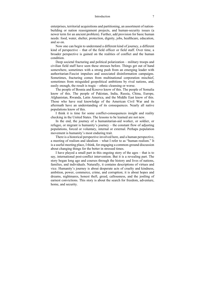#### Introduction 7

enterprises, territorial acquisitions and partitioning, an assortment of nationbuilding or nation reassignment projects, and human-security issues (a newer term for an ancient problem). Further, add provision for basic human needs: food, water, shelter, protection, dignity, jobs, healthcare, education, and so on.

Now one can begin to understand a different kind of journey, a different kind of perspective – that of the field officer or field staff. Over time, a broader perspective is gained on the realities of conflict and the human condition.

Deep societal fracturing and political polarization – military troops and civilian field staff have seen these stresses before. Things get out of hand somewhere, sometimes with a strong push from an emerging leader with authoritarian-Fascist impulses and associated disinformation campaigns. Sometimes, fracturing comes from multinational corporation mischief, sometimes from misguided geopolitical ambitions by rival nations, and, easily enough, the result is tragic – ethnic cleansing or worse.

The people of Bosnia and Kosovo know of this. The people of Somalia know of this. The people of Pakistan, India, Russia, China, Europe, Afghanistan, Rwanda, Latin America, and the Middle East know of this. Those who have real knowledge of the American Civil War and its aftermath have an understanding of its consequences. Nearly all native populations know of this.

I think it is time for some conflict-consequences insight and reality checking in the United States. The lessons to be learned are not new.

In the end, the journey of a humanitarian-aid worker, or soldier, or refugee, or migrant is humanity's journey – the constant flow of adjusting populations, forced or voluntary, internal or external. Perhaps population movement is humanity's most enduring trait.

There is a historical perspective involved here, and a human perspective, a meeting of realism and idealism – what I refer to as "human realism." It is a useful meeting place, I think, for engaging a common-ground discussion about changing things for the better in stressed times.

I have played a small part in this ongoing story of the ages – that is to say, international post-conflict intervention. But it is a revealing part. The story began long ago and courses through the history and lives of nations, families, and individuals. Naturally, it contains descriptions of virtues and vice. Humanity's journey is about desperate acts of cruelty and kindness, ambition, power, commerce, crime, and corruption; it is about hopes and dreams, nightmares, honest theft, greed, callousness, and the jostling of earnest convictions. This story is about the search for freedom, adventure, home, and security.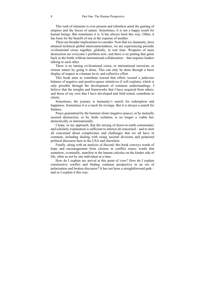This rush of elements is ever present and relentless amid the gaming of empires and the forces of nature. Sometimes, it is not a happy result for human beings. But sometimes it is. It has always been this way. Often, it has been for the benefit of one at the expense of another.

There are broader implications to consider. Now that we, humanity, have attained technical global interconnectedness, we are experiencing periodic civilizational crises together, globally, in real time. Weapons of mass destruction are everyone's problem now; and there is no putting that genie back in the bottle without international collaboration – that requires leaders talking to each other.

There is no taming civilizational crises, or international terrorism, or riotous nature by going it alone. This can only be done through a basic display of respect at a human level, and collective effort.

This book aims to contribute toward that effort; toward a judicious balance of negative and positive-peace initiatives (I will explain), which is only possible through the development of common understandings. I believe that the insights and frameworks that I have acquired from others, and those of my own that I have developed and field tested, contribute to clarity.

Sometimes, the journey is humanity's search for redemption and happiness. Sometimes it is a reach for revenge. But it is always a search for balance.

Peace guaranteed by the hammer alone (negative peace), or by mutually assured destruction, or by futile isolation, is no longer a viable bet, domestically or internationally.

I hope, in my approach, that the mixing of down-to-earth commentary and scholarly explanation is sufficient to interest all concerned – and to alert all concerned about complexities and challenges that we all have in common, including dealing with rising societal divisions and polarized political discourse here in the USA and elsewhere.

Finally, along with an analysis of discord, this book conveys words of hope and encouragement from citizens in conflict zones; words that somehow, eventually, manifest in the human calculus on the kinder side of life, often as not by one individual at a time.

How do I explain my arrival at this point of view? How do I explain constructive conflict and finding common perspective in an era of polarization and broken discourse? It has not been a straightforward path – and so I explain it this way.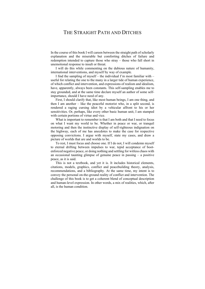## THE STRAIGHT PATH AND DITCHES

In the course of this book I will careen between the straight path of scholarly explanation and the miserable but comforting ditches of failure and redemption intended to capture those who stray – those who fall short in unemotional response to insult or threat.

I will do this while commenting on the dubious nature of humanity, international interventions, and myself by way of example.

I find the sampling of myself – the individual I'm most familiar with – useful for relating the one to the many in a larger tide of human experience, of which conflict and intervention, and expressions of realism and idealism, have, apparently, always been constants. This self-sampling enables me to stay grounded, and at the same time declare myself an author of some selfimportance, should I have need of any.

First, I should clarify that, like most human beings, I am one thing, and then I am another – like the peaceful motorist who, in a split second, is rendered a raging cursing idiot by a vehicular affront to his or her sensitivities. Or, perhaps, like every other basic human unit, I am stamped with certain portions of virtue and vice.

What is important to remember is that I am both and that I need to focus on what I want my world to be. Whether in peace or war, or tranquil motoring and then the instinctive display of self-righteous indignation on the highway, each of me has anecdotes to make the case for respective opposing convictions. I argue with myself, state my cases, and draw a picture of worlds that are and worlds to be.

To rest, I must focus and choose one. If I do not, I will condemn myself to eternal drifting between impulses to war, tepid acceptance of bootenforced negative peace, or doing nothing and settling for witless chaos with an occasional taunting glimpse of genuine peace in passing – a positive peace, as it is said.

This is not a textbook, and yet it is. It includes historical elements, citations, models, graphics, conflict and peacebuilding theory, analysis, recommendations, and a bibliography. At the same time, my intent is to convey the personal on-the-ground reality of conflict and intervention. The challenge of this book is to get a coherent blend of conceptual description and human-level expression. In other words, a mix of realities, which, after all, is the human condition.